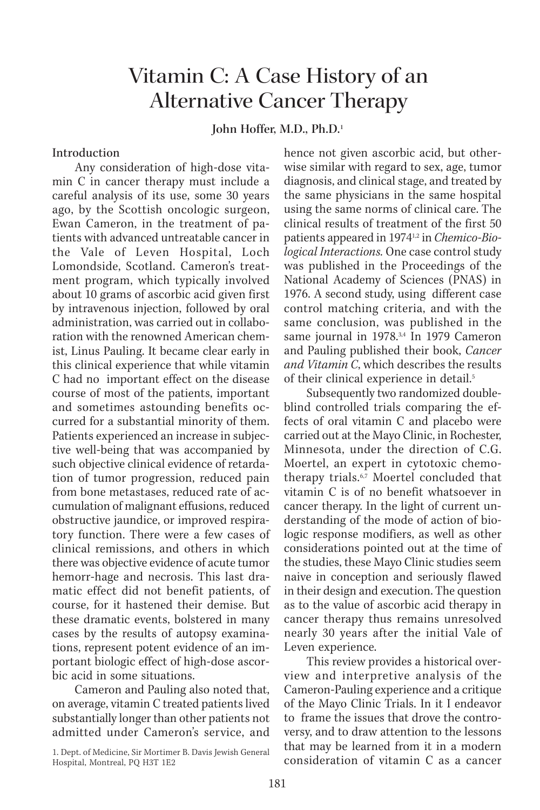# Vitamin C: A Case History of an Alternative Cancer Therapy

**John Hoffer, M.D., Ph.D.1**

#### Introduction

Any consideration of high-dose vitamin C in cancer therapy must include a careful analysis of its use, some 30 years ago, by the Scottish oncologic surgeon, Ewan Cameron, in the treatment of patients with advanced untreatable cancer in the Vale of Leven Hospital, Loch Lomondside, Scotland. Cameron's treatment program, which typically involved about 10 grams of ascorbic acid given first by intravenous injection, followed by oral administration, was carried out in collaboration with the renowned American chemist, Linus Pauling. It became clear early in this clinical experience that while vitamin C had no important effect on the disease course of most of the patients, important and sometimes astounding benefits occurred for a substantial minority of them. Patients experienced an increase in subjective well-being that was accompanied by such objective clinical evidence of retardation of tumor progression, reduced pain from bone metastases, reduced rate of accumulation of malignant effusions, reduced obstructive jaundice, or improved respiratory function. There were a few cases of clinical remissions, and others in which there was objective evidence of acute tumor hemorr-hage and necrosis. This last dramatic effect did not benefit patients, of course, for it hastened their demise. But these dramatic events, bolstered in many cases by the results of autopsy examinations, represent potent evidence of an important biologic effect of high-dose ascorbic acid in some situations.

Cameron and Pauling also noted that, on average, vitamin C treated patients lived substantially longer than other patients not admitted under Cameron's service, and

1. Dept. of Medicine, Sir Mortimer B. Davis Jewish General Hospital, Montreal, PQ H3T 1E2

hence not given ascorbic acid, but otherwise similar with regard to sex, age, tumor diagnosis, and clinical stage, and treated by the same physicians in the same hospital using the same norms of clinical care. The clinical results of treatment of the first 50 patients appeared in 19741,2 in *Chemico-Biological Interactions.* One case control study was published in the Proceedings of the National Academy of Sciences (PNAS) in 1976. A second study, using different case control matching criteria, and with the same conclusion, was published in the same journal in 1978.<sup>3,4</sup> In 1979 Cameron and Pauling published their book, *Cancer and Vitamin C*, which describes the results of their clinical experience in detail.<sup>5</sup>

Subsequently two randomized doubleblind controlled trials comparing the effects of oral vitamin C and placebo were carried out at the Mayo Clinic, in Rochester, Minnesota, under the direction of C.G. Moertel, an expert in cytotoxic chemotherapy trials.6,7 Moertel concluded that vitamin C is of no benefit whatsoever in cancer therapy. In the light of current understanding of the mode of action of biologic response modifiers, as well as other considerations pointed out at the time of the studies, these Mayo Clinic studies seem naive in conception and seriously flawed in their design and execution. The question as to the value of ascorbic acid therapy in cancer therapy thus remains unresolved nearly 30 years after the initial Vale of Leven experience.

This review provides a historical overview and interpretive analysis of the Cameron-Pauling experience and a critique of the Mayo Clinic Trials. In it I endeavor to frame the issues that drove the controversy, and to draw attention to the lessons that may be learned from it in a modern consideration of vitamin C as a cancer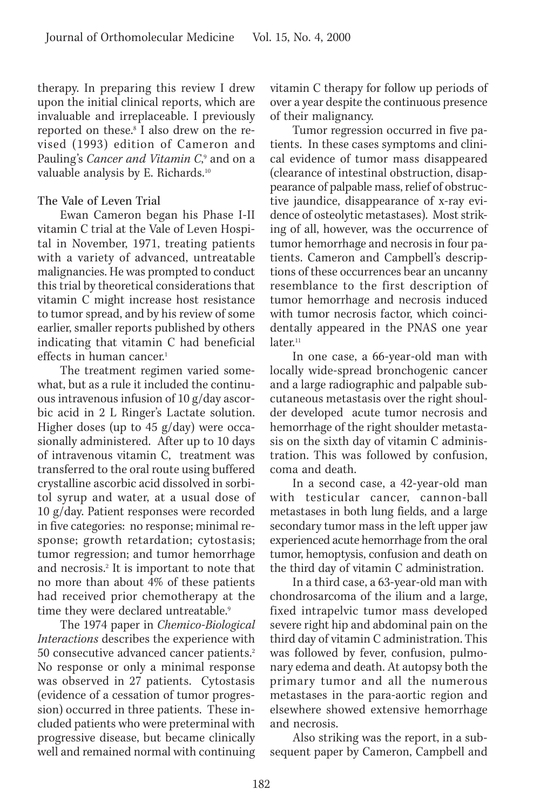therapy. In preparing this review I drew upon the initial clinical reports, which are invaluable and irreplaceable. I previously reported on these.<sup>8</sup> I also drew on the revised (1993) edition of Cameron and Pauling's Cancer and Vitamin C,<sup>9</sup> and on a valuable analysis by E. Richards.<sup>10</sup>

# The Vale of Leven Trial

Ewan Cameron began his Phase I-II vitamin C trial at the Vale of Leven Hospital in November, 1971, treating patients with a variety of advanced, untreatable malignancies. He was prompted to conduct this trial by theoretical considerations that vitamin C might increase host resistance to tumor spread, and by his review of some earlier, smaller reports published by others indicating that vitamin C had beneficial effects in human cancer.<sup>1</sup>

The treatment regimen varied somewhat, but as a rule it included the continuous intravenous infusion of 10 g/day ascorbic acid in 2 L Ringer's Lactate solution. Higher doses (up to 45 g/day) were occasionally administered. After up to 10 days of intravenous vitamin C, treatment was transferred to the oral route using buffered crystalline ascorbic acid dissolved in sorbitol syrup and water, at a usual dose of 10 g/day. Patient responses were recorded in five categories: no response; minimal response; growth retardation; cytostasis; tumor regression; and tumor hemorrhage and necrosis.<sup>2</sup> It is important to note that no more than about 4% of these patients had received prior chemotherapy at the time they were declared untreatable.<sup>9</sup>

The 1974 paper in *Chemico-Biological Interactions* describes the experience with 50 consecutive advanced cancer patients.<sup>2</sup> No response or only a minimal response was observed in 27 patients. Cytostasis (evidence of a cessation of tumor progression) occurred in three patients. These included patients who were preterminal with progressive disease, but became clinically well and remained normal with continuing vitamin C therapy for follow up periods of over a year despite the continuous presence of their malignancy.

Tumor regression occurred in five patients. In these cases symptoms and clinical evidence of tumor mass disappeared (clearance of intestinal obstruction, disappearance of palpable mass, relief of obstructive jaundice, disappearance of x-ray evidence of osteolytic metastases). Most striking of all, however, was the occurrence of tumor hemorrhage and necrosis in four patients. Cameron and Campbell's descriptions of these occurrences bear an uncanny resemblance to the first description of tumor hemorrhage and necrosis induced with tumor necrosis factor, which coincidentally appeared in the PNAS one year  $l$ ater $11$ 

In one case, a 66-year-old man with locally wide-spread bronchogenic cancer and a large radiographic and palpable subcutaneous metastasis over the right shoulder developed acute tumor necrosis and hemorrhage of the right shoulder metastasis on the sixth day of vitamin C administration. This was followed by confusion, coma and death.

In a second case, a 42-year-old man with testicular cancer, cannon-ball metastases in both lung fields, and a large secondary tumor mass in the left upper jaw experienced acute hemorrhage from the oral tumor, hemoptysis, confusion and death on the third day of vitamin C administration.

In a third case, a 63-year-old man with chondrosarcoma of the ilium and a large, fixed intrapelvic tumor mass developed severe right hip and abdominal pain on the third day of vitamin C administration. This was followed by fever, confusion, pulmonary edema and death. At autopsy both the primary tumor and all the numerous metastases in the para-aortic region and elsewhere showed extensive hemorrhage and necrosis.

Also striking was the report, in a subsequent paper by Cameron, Campbell and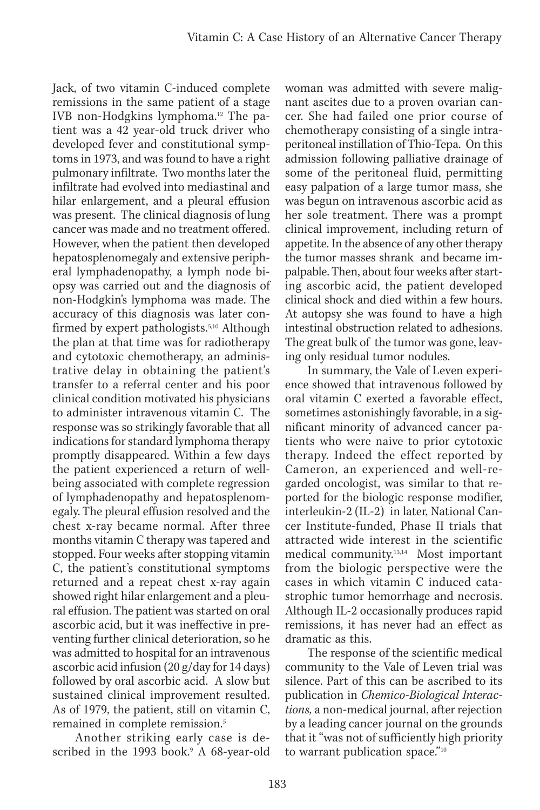Jack, of two vitamin C-induced complete remissions in the same patient of a stage IVB non-Hodgkins lymphoma.12 The patient was a 42 year-old truck driver who developed fever and constitutional symptoms in 1973, and was found to have a right pulmonary infiltrate. Two months later the infiltrate had evolved into mediastinal and hilar enlargement, and a pleural effusion was present. The clinical diagnosis of lung cancer was made and no treatment offered. However, when the patient then developed hepatosplenomegaly and extensive peripheral lymphadenopathy, a lymph node biopsy was carried out and the diagnosis of non-Hodgkin's lymphoma was made. The accuracy of this diagnosis was later confirmed by expert pathologists.<sup>5,10</sup> Although the plan at that time was for radiotherapy and cytotoxic chemotherapy, an administrative delay in obtaining the patient's transfer to a referral center and his poor clinical condition motivated his physicians to administer intravenous vitamin C. The response was so strikingly favorable that all indications for standard lymphoma therapy promptly disappeared. Within a few days the patient experienced a return of wellbeing associated with complete regression of lymphadenopathy and hepatosplenomegaly. The pleural effusion resolved and the chest x-ray became normal. After three months vitamin C therapy was tapered and stopped. Four weeks after stopping vitamin C, the patient's constitutional symptoms returned and a repeat chest x-ray again showed right hilar enlargement and a pleural effusion. The patient was started on oral ascorbic acid, but it was ineffective in preventing further clinical deterioration, so he was admitted to hospital for an intravenous ascorbic acid infusion (20 g/day for 14 days) followed by oral ascorbic acid. A slow but sustained clinical improvement resulted. As of 1979, the patient, still on vitamin C, remained in complete remission.<sup>5</sup>

Another striking early case is described in the 1993 book.9 A 68-year-old

woman was admitted with severe malignant ascites due to a proven ovarian cancer. She had failed one prior course of chemotherapy consisting of a single intraperitoneal instillation of Thio-Tepa. On this admission following palliative drainage of some of the peritoneal fluid, permitting easy palpation of a large tumor mass, she was begun on intravenous ascorbic acid as her sole treatment. There was a prompt clinical improvement, including return of appetite. In the absence of any other therapy the tumor masses shrank and became impalpable. Then, about four weeks after starting ascorbic acid, the patient developed clinical shock and died within a few hours. At autopsy she was found to have a high intestinal obstruction related to adhesions. The great bulk of the tumor was gone, leaving only residual tumor nodules.

In summary, the Vale of Leven experience showed that intravenous followed by oral vitamin C exerted a favorable effect, sometimes astonishingly favorable, in a significant minority of advanced cancer patients who were naive to prior cytotoxic therapy. Indeed the effect reported by Cameron, an experienced and well-regarded oncologist, was similar to that reported for the biologic response modifier, interleukin-2 (IL-2) in later, National Cancer Institute-funded, Phase II trials that attracted wide interest in the scientific medical community.13,14 Most important from the biologic perspective were the cases in which vitamin C induced catastrophic tumor hemorrhage and necrosis. Although IL-2 occasionally produces rapid remissions, it has never had an effect as dramatic as this.

The response of the scientific medical community to the Vale of Leven trial was silence. Part of this can be ascribed to its publication in *Chemico-Biological Interactions,* a non-medical journal, after rejection by a leading cancer journal on the grounds that it "was not of sufficiently high priority to warrant publication space."10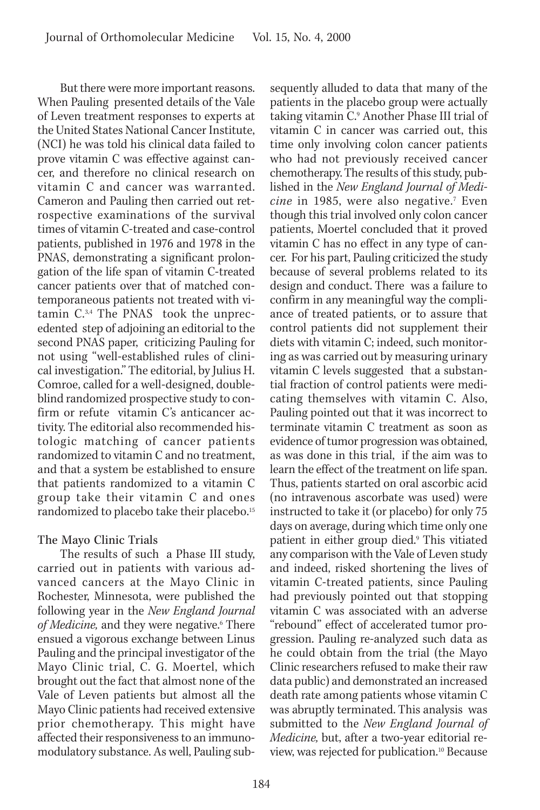But there were more important reasons. When Pauling presented details of the Vale of Leven treatment responses to experts at the United States National Cancer Institute, (NCI) he was told his clinical data failed to prove vitamin C was effective against cancer, and therefore no clinical research on vitamin C and cancer was warranted. Cameron and Pauling then carried out retrospective examinations of the survival times of vitamin C-treated and case-control patients, published in 1976 and 1978 in the PNAS, demonstrating a significant prolongation of the life span of vitamin C-treated cancer patients over that of matched contemporaneous patients not treated with vitamin C.3,4 The PNAS took the unprecedented step of adjoining an editorial to the second PNAS paper, criticizing Pauling for not using "well-established rules of clinical investigation." The editorial, by Julius H. Comroe, called for a well-designed, doubleblind randomized prospective study to confirm or refute vitamin C's anticancer activity. The editorial also recommended histologic matching of cancer patients randomized to vitamin C and no treatment, and that a system be established to ensure that patients randomized to a vitamin C group take their vitamin C and ones randomized to placebo take their placebo.<sup>15</sup>

### The Mayo Clinic Trials

The results of such a Phase III study, carried out in patients with various advanced cancers at the Mayo Clinic in Rochester, Minnesota, were published the following year in the *New England Journal* of *Medicine*, and they were negative.<sup>6</sup> There ensued a vigorous exchange between Linus Pauling and the principal investigator of the Mayo Clinic trial, C. G. Moertel, which brought out the fact that almost none of the Vale of Leven patients but almost all the Mayo Clinic patients had received extensive prior chemotherapy. This might have affected their responsiveness to an immunomodulatory substance. As well, Pauling subsequently alluded to data that many of the patients in the placebo group were actually taking vitamin C.9 Another Phase III trial of vitamin C in cancer was carried out, this time only involving colon cancer patients who had not previously received cancer chemotherapy. The results of this study, published in the *New England Journal of Medicine* in 1985, were also negative.7 Even though this trial involved only colon cancer patients, Moertel concluded that it proved vitamin C has no effect in any type of cancer. For his part, Pauling criticized the study because of several problems related to its design and conduct. There was a failure to confirm in any meaningful way the compliance of treated patients, or to assure that control patients did not supplement their diets with vitamin C; indeed, such monitoring as was carried out by measuring urinary vitamin C levels suggested that a substantial fraction of control patients were medicating themselves with vitamin C. Also, Pauling pointed out that it was incorrect to terminate vitamin C treatment as soon as evidence of tumor progression was obtained, as was done in this trial, if the aim was to learn the effect of the treatment on life span. Thus, patients started on oral ascorbic acid (no intravenous ascorbate was used) were instructed to take it (or placebo) for only 75 days on average, during which time only one patient in either group died.<sup>9</sup> This vitiated any comparison with the Vale of Leven study and indeed, risked shortening the lives of vitamin C-treated patients, since Pauling had previously pointed out that stopping vitamin C was associated with an adverse "rebound" effect of accelerated tumor progression. Pauling re-analyzed such data as he could obtain from the trial (the Mayo Clinic researchers refused to make their raw data public) and demonstrated an increased death rate among patients whose vitamin C was abruptly terminated. This analysis was submitted to the *New England Journal of Medicine,* but, after a two-year editorial review, was rejected for publication.10 Because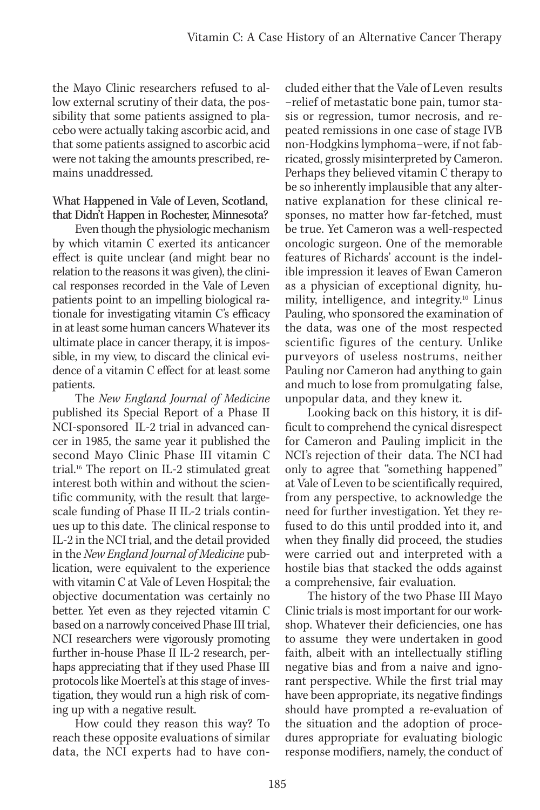the Mayo Clinic researchers refused to allow external scrutiny of their data, the possibility that some patients assigned to placebo were actually taking ascorbic acid, and that some patients assigned to ascorbic acid were not taking the amounts prescribed, remains unaddressed.

# What Happened in Vale of Leven, Scotland, that Didn't Happen in Rochester, Minnesota?

Even though the physiologic mechanism by which vitamin C exerted its anticancer effect is quite unclear (and might bear no relation to the reasons it was given), the clinical responses recorded in the Vale of Leven patients point to an impelling biological rationale for investigating vitamin C's efficacy in at least some human cancers Whatever its ultimate place in cancer therapy, it is impossible, in my view, to discard the clinical evidence of a vitamin C effect for at least some patients.

The *New England Journal of Medicine* published its Special Report of a Phase II NCI-sponsored IL-2 trial in advanced cancer in 1985, the same year it published the second Mayo Clinic Phase III vitamin C trial.16 The report on IL-2 stimulated great interest both within and without the scientific community, with the result that largescale funding of Phase II IL-2 trials continues up to this date. The clinical response to IL-2 in the NCI trial, and the detail provided in the *New England Journal of Medicine* publication, were equivalent to the experience with vitamin C at Vale of Leven Hospital; the objective documentation was certainly no better. Yet even as they rejected vitamin C based on a narrowly conceived Phase III trial, NCI researchers were vigorously promoting further in-house Phase II IL-2 research, perhaps appreciating that if they used Phase III protocols like Moertel's at this stage of investigation, they would run a high risk of coming up with a negative result.

How could they reason this way? To reach these opposite evaluations of similar data, the NCI experts had to have concluded either that the Vale of Leven results –relief of metastatic bone pain, tumor stasis or regression, tumor necrosis, and repeated remissions in one case of stage IVB non-Hodgkins lymphoma–were, if not fabricated, grossly misinterpreted by Cameron. Perhaps they believed vitamin C therapy to be so inherently implausible that any alternative explanation for these clinical responses, no matter how far-fetched, must be true. Yet Cameron was a well-respected oncologic surgeon. One of the memorable features of Richards' account is the indelible impression it leaves of Ewan Cameron as a physician of exceptional dignity, humility, intelligence, and integrity.10 Linus Pauling, who sponsored the examination of the data, was one of the most respected scientific figures of the century. Unlike purveyors of useless nostrums, neither Pauling nor Cameron had anything to gain and much to lose from promulgating false, unpopular data, and they knew it.

Looking back on this history, it is difficult to comprehend the cynical disrespect for Cameron and Pauling implicit in the NCI's rejection of their data. The NCI had only to agree that "something happened" at Vale of Leven to be scientifically required, from any perspective, to acknowledge the need for further investigation. Yet they refused to do this until prodded into it, and when they finally did proceed, the studies were carried out and interpreted with a hostile bias that stacked the odds against a comprehensive, fair evaluation.

The history of the two Phase III Mayo Clinic trials is most important for our workshop. Whatever their deficiencies, one has to assume they were undertaken in good faith, albeit with an intellectually stifling negative bias and from a naive and ignorant perspective. While the first trial may have been appropriate, its negative findings should have prompted a re-evaluation of the situation and the adoption of procedures appropriate for evaluating biologic response modifiers, namely, the conduct of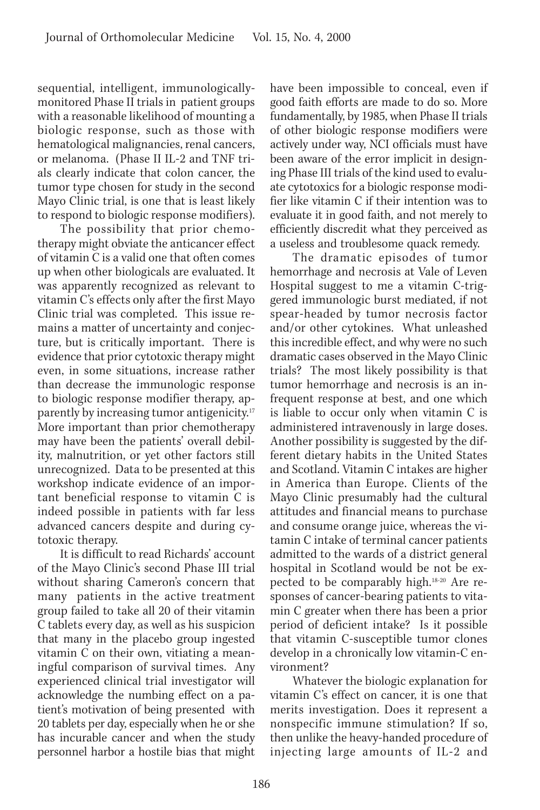sequential, intelligent, immunologicallymonitored Phase II trials in patient groups with a reasonable likelihood of mounting a biologic response, such as those with hematological malignancies, renal cancers, or melanoma. (Phase II IL-2 and TNF trials clearly indicate that colon cancer, the tumor type chosen for study in the second Mayo Clinic trial, is one that is least likely to respond to biologic response modifiers).

The possibility that prior chemotherapy might obviate the anticancer effect of vitamin C is a valid one that often comes up when other biologicals are evaluated. It was apparently recognized as relevant to vitamin C's effects only after the first Mayo Clinic trial was completed. This issue remains a matter of uncertainty and conjecture, but is critically important. There is evidence that prior cytotoxic therapy might even, in some situations, increase rather than decrease the immunologic response to biologic response modifier therapy, apparently by increasing tumor antigenicity.17 More important than prior chemotherapy may have been the patients' overall debility, malnutrition, or yet other factors still unrecognized. Data to be presented at this workshop indicate evidence of an important beneficial response to vitamin C is indeed possible in patients with far less advanced cancers despite and during cytotoxic therapy.

It is difficult to read Richards' account of the Mayo Clinic's second Phase III trial without sharing Cameron's concern that many patients in the active treatment group failed to take all 20 of their vitamin C tablets every day, as well as his suspicion that many in the placebo group ingested vitamin C on their own, vitiating a meaningful comparison of survival times. Any experienced clinical trial investigator will acknowledge the numbing effect on a patient's motivation of being presented with 20 tablets per day, especially when he or she has incurable cancer and when the study personnel harbor a hostile bias that might have been impossible to conceal, even if good faith efforts are made to do so. More fundamentally, by 1985, when Phase II trials of other biologic response modifiers were actively under way, NCI officials must have been aware of the error implicit in designing Phase III trials of the kind used to evaluate cytotoxics for a biologic response modifier like vitamin C if their intention was to evaluate it in good faith, and not merely to efficiently discredit what they perceived as a useless and troublesome quack remedy.

The dramatic episodes of tumor hemorrhage and necrosis at Vale of Leven Hospital suggest to me a vitamin C-triggered immunologic burst mediated, if not spear-headed by tumor necrosis factor and/or other cytokines. What unleashed this incredible effect, and why were no such dramatic cases observed in the Mayo Clinic trials? The most likely possibility is that tumor hemorrhage and necrosis is an infrequent response at best, and one which is liable to occur only when vitamin C is administered intravenously in large doses. Another possibility is suggested by the different dietary habits in the United States and Scotland. Vitamin C intakes are higher in America than Europe. Clients of the Mayo Clinic presumably had the cultural attitudes and financial means to purchase and consume orange juice, whereas the vitamin C intake of terminal cancer patients admitted to the wards of a district general hospital in Scotland would be not be expected to be comparably high.18-20 Are responses of cancer-bearing patients to vitamin C greater when there has been a prior period of deficient intake? Is it possible that vitamin C-susceptible tumor clones develop in a chronically low vitamin-C environment?

Whatever the biologic explanation for vitamin C's effect on cancer, it is one that merits investigation. Does it represent a nonspecific immune stimulation? If so, then unlike the heavy-handed procedure of injecting large amounts of IL-2 and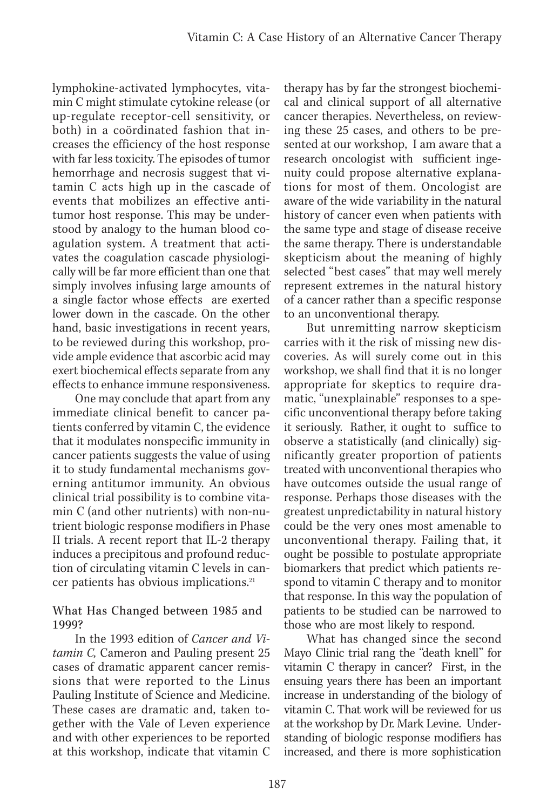lymphokine-activated lymphocytes, vitamin C might stimulate cytokine release (or up-regulate receptor-cell sensitivity, or both) in a coördinated fashion that increases the efficiency of the host response with far less toxicity. The episodes of tumor hemorrhage and necrosis suggest that vitamin C acts high up in the cascade of events that mobilizes an effective antitumor host response. This may be understood by analogy to the human blood coagulation system. A treatment that activates the coagulation cascade physiologically will be far more efficient than one that simply involves infusing large amounts of a single factor whose effects are exerted lower down in the cascade. On the other hand, basic investigations in recent years, to be reviewed during this workshop, provide ample evidence that ascorbic acid may exert biochemical effects separate from any effects to enhance immune responsiveness.

One may conclude that apart from any immediate clinical benefit to cancer patients conferred by vitamin C, the evidence that it modulates nonspecific immunity in cancer patients suggests the value of using it to study fundamental mechanisms governing antitumor immunity. An obvious clinical trial possibility is to combine vitamin C (and other nutrients) with non-nutrient biologic response modifiers in Phase II trials. A recent report that IL-2 therapy induces a precipitous and profound reduction of circulating vitamin C levels in cancer patients has obvious implications.<sup>21</sup>

### What Has Changed between 1985 and 1999?

In the 1993 edition of *Cancer and Vitamin C,* Cameron and Pauling present 25 cases of dramatic apparent cancer remissions that were reported to the Linus Pauling Institute of Science and Medicine. These cases are dramatic and, taken together with the Vale of Leven experience and with other experiences to be reported at this workshop, indicate that vitamin C

therapy has by far the strongest biochemical and clinical support of all alternative cancer therapies. Nevertheless, on reviewing these 25 cases, and others to be presented at our workshop, I am aware that a research oncologist with sufficient ingenuity could propose alternative explanations for most of them. Oncologist are aware of the wide variability in the natural history of cancer even when patients with the same type and stage of disease receive the same therapy. There is understandable skepticism about the meaning of highly selected "best cases" that may well merely represent extremes in the natural history of a cancer rather than a specific response to an unconventional therapy.

But unremitting narrow skepticism carries with it the risk of missing new discoveries. As will surely come out in this workshop, we shall find that it is no longer appropriate for skeptics to require dramatic, "unexplainable" responses to a specific unconventional therapy before taking it seriously. Rather, it ought to suffice to observe a statistically (and clinically) significantly greater proportion of patients treated with unconventional therapies who have outcomes outside the usual range of response. Perhaps those diseases with the greatest unpredictability in natural history could be the very ones most amenable to unconventional therapy. Failing that, it ought be possible to postulate appropriate biomarkers that predict which patients respond to vitamin C therapy and to monitor that response. In this way the population of patients to be studied can be narrowed to those who are most likely to respond.

What has changed since the second Mayo Clinic trial rang the "death knell" for vitamin C therapy in cancer? First, in the ensuing years there has been an important increase in understanding of the biology of vitamin C. That work will be reviewed for us at the workshop by Dr. Mark Levine. Understanding of biologic response modifiers has increased, and there is more sophistication